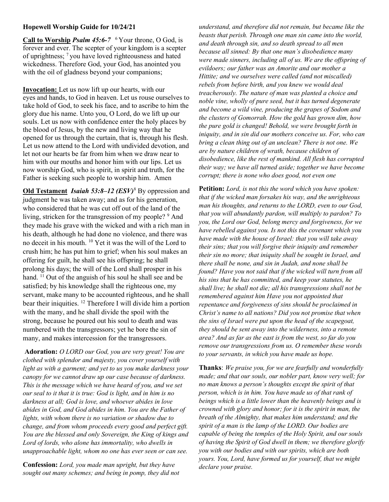## Hopewell Worship Guide for 10/24/21

Call to Worship *Psalm 45:6-7*  $\frac{6}{7}$  Your throne, O God, is forever and ever. The scepter of your kingdom is a scepter of uprightness; <sup>7</sup>you have loved righteousness and hated wickedness. Therefore God, your God, has anointed you with the oil of gladness beyond your companions;

Invocation: Let us now lift up our hearts, with our eyes and hands, to God in heaven. Let us rouse ourselves to take hold of God, to seek his face, and to ascribe to him the glory due his name. Unto you, O Lord, do we lift up our souls. Let us now with confidence enter the holy places by the blood of Jesus, by the new and living way that he opened for us through the curtain, that is, through his flesh. Let us now attend to the Lord with undivided devotion, and let not our hearts be far from him when we draw near to him with our mouths and honor him with our lips. Let us now worship God, who is spirit, in spirit and truth, for the Father is seeking such people to worship him. Amen

Old Testament Isaiah 53:8-12  $(ESV)^8$  By oppression and judgment he was taken away; and as for his generation, who considered that he was cut off out of the land of the living, stricken for the transgression of my people? <sup>9</sup> And they made his grave with the wicked and with a rich man in his death, although he had done no violence, and there was no deceit in his mouth. <sup>10</sup> Yet it was the will of the Lord to crush him; he has put him to grief; when his soul makes an offering for guilt, he shall see his offspring; he shall prolong his days; the will of the Lord shall prosper in his hand. <sup>11</sup> Out of the anguish of his soul he shall see and be satisfied; by his knowledge shall the righteous one, my servant, make many to be accounted righteous, and he shall bear their iniquities. <sup>12</sup> Therefore I will divide him a portion with the many, and he shall divide the spoil with the strong, because he poured out his soul to death and was numbered with the transgressors; yet he bore the sin of many, and makes intercession for the transgressors.

Adoration: O LORD our God, you are very great! You are clothed with splendor and majesty, you cover yourself with light as with a garment; and yet to us you make darkness your canopy for we cannot draw up our case because of darkness. This is the message which we have heard of you, and we set our seal to it that it is true: God is light, and in him is no darkness at all; God is love, and whoever abides in love abides in God, and God abides in him. You are the Father of lights, with whom there is no variation or shadow due to change, and from whom proceeds every good and perfect gift. You are the blessed and only Sovereign, the King of kings and Lord of lords, who alone has immortality, who dwells in unapproachable light, whom no one has ever seen or can see.

Confession: Lord, you made man upright, but they have sought out many schemes; and being in pomp, they did not understand, and therefore did not remain, but became like the beasts that perish. Through one man sin came into the world, and death through sin, and so death spread to all men because all sinned: By that one man's disobedience many were made sinners, including all of us. We are the offspring of evildoers; our father was an Amorite and our mother a Hittite; and we ourselves were called (and not miscalled) rebels from before birth, and you knew we would deal treacherously. The nature of man was planted a choice and noble vine, wholly of pure seed, but it has turned degenerate and become a wild vine, producing the grapes of Sodom and the clusters of Gomorrah. How the gold has grown dim, how the pure gold is changed! Behold, we were brought forth in iniquity, and in sin did our mothers conceive us. For, who can bring a clean thing out of an unclean? There is not one. We are by nature children of wrath, because children of disobedience, like the rest of mankind. All flesh has corrupted their way; we have all turned aside; together we have become corrupt; there is none who does good, not even one

Petition: Lord, is not this the word which you have spoken: that if the wicked man forsakes his way, and the unrighteous man his thoughts, and returns to the LORD, even to our God, that you will abundantly pardon, will multiply to pardon? To you, the Lord our God, belong mercy and forgiveness, for we have rebelled against you. Is not this the covenant which you have made with the house of Israel: that you will take away their sins; that you will forgive their iniquity and remember their sin no more; that iniquity shall be sought in Israel, and there shall be none, and sin in Judah, and none shall be found? Have you not said that if the wicked will turn from all his sins that he has committed, and keep your statutes, he shall live; he shall not die; all his transgressions shall not be remembered against him Have you not appointed that repentance and forgiveness of sins should be proclaimed in Christ's name to all nations? Did you not promise that when the sins of Israel were put upon the head of the scapegoat, they should be sent away into the wilderness, into a remote area? And as far as the east is from the west, so far do you remove our transgressions from us. O remember these words to your servants, in which you have made us hope.

Thanks: We praise you, for we are fearfully and wonderfully made; and that our souls, our nobler part, know very well; for no man knows a person's thoughts except the spirit of that person, which is in him. You have made us of that rank of beings which is a little lower than the heavenly beings and is crowned with glory and honor; for it is the spirit in man, the breath of the Almighty, that makes him understand; and the spirit of a man is the lamp of the LORD. Our bodies are capable of being the temples of the Holy Spirit, and our souls of having the Spirit of God dwell in them; we therefore glorify you with our bodies and with our spirits, which are both yours. You, Lord, have formed us for yourself, that we might declare your praise.